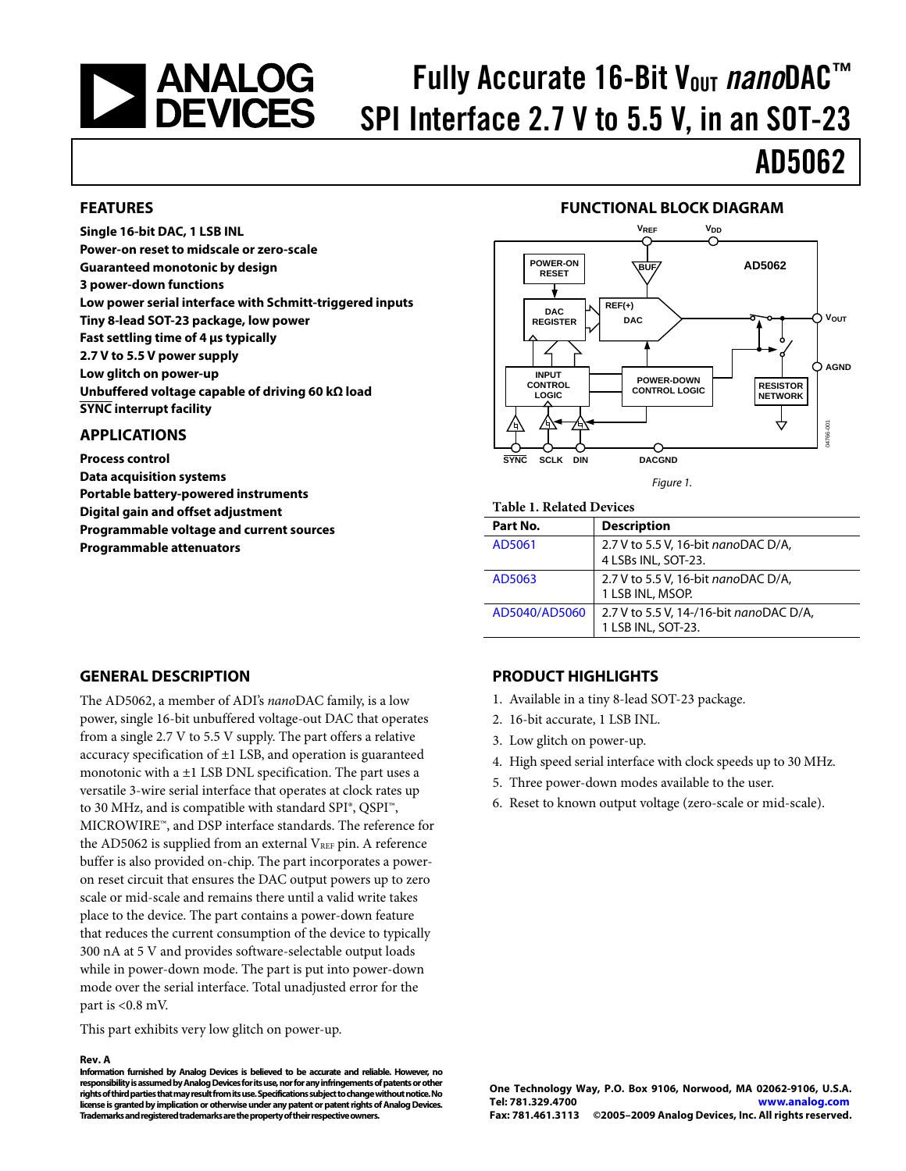# <span id="page-0-0"></span>**SANALOG<br>DEVICES**

# Fully Accurate 16-Bit V<sub>out</sub> nanoDAC<sup>™</sup> SPI Interface 2.7 V to 5.5 V, in an SOT-23

# AD5062

#### **FEATURES**

**Single 16-bit DAC, 1 LSB INL Power-on reset to midscale or zero-scale Guaranteed monotonic by design 3 power-down functions Low power serial interface with Schmitt-triggered inputs Tiny 8-lead SOT-23 package, low power Fast settling time of 4 μs typically 2.7 V to 5.5 V power supply Low glitch on power-up Unbuffered voltage capable of driving 60 kΩ load SYNC interrupt facility** 

#### **APPLICATIONS**

**Process control Data acquisition systems Portable battery-powered instruments Digital gain and offset adjustment Programmable voltage and current sources Programmable attenuators** 

### **FUNCTIONAL BLOCK DIAGRAM**



#### Figure 1.

#### **Table 1. Related Devices**

| Part No.      | <b>Description</b>                                            |
|---------------|---------------------------------------------------------------|
| AD5061        | 2.7 V to 5.5 V, 16-bit nanoDAC D/A,<br>4 LSBs INL, SOT-23.    |
| AD5063        | 2.7 V to 5.5 V, 16-bit nanoDAC D/A,<br>1 LSB INL, MSOP.       |
| AD5040/AD5060 | 2.7 V to 5.5 V, 14-/16-bit nanoDAC D/A,<br>1 LSB INL, SOT-23. |

#### **GENERAL DESCRIPTION**

The AD5062, a member of ADI's *nano*DAC family, is a low power, single 16-bit unbuffered voltage-out DAC that operates from a single 2.7 V to 5.5 V supply. The part offers a relative accuracy specification of  $\pm 1$  LSB, and operation is guaranteed monotonic with a  $\pm 1$  LSB DNL specification. The part uses a versatile 3-wire serial interface that operates at clock rates up to 30 MHz, and is compatible with standard SPI®, QSPI™, MICROWIRE™, and DSP interface standards. The reference for the AD5062 is supplied from an external  $V_{REF}$  pin. A reference buffer is also provided on-chip. The part incorporates a poweron reset circuit that ensures the DAC output powers up to zero scale or mid-scale and remains there until a valid write takes place to the device. The part contains a power-down feature that reduces the current consumption of the device to typically 300 nA at 5 V and provides software-selectable output loads while in power-down mode. The part is put into power-down mode over the serial interface. Total unadjusted error for the part is <0.8 mV.

This part exhibits very low glitch on power-up.

#### **Rev. A**

**Information furnished by Analog Devices is believed to be accurate and reliable. However, no responsibility is assumed by Analog Devices for its use, nor for any infringements of patents or other rights of third parties that may result from its use. Specifications subject to change without notice. No license is granted by implication or otherwise under any patent or patent rights of Analog Devices. Trademarks and registered trademarks are the property of their respective owners.** 

#### **PRODUCT HIGHLIGHTS**

- 1. Available in a tiny 8-lead SOT-23 package.
- 2. 16-bit accurate, 1 LSB INL.
- 3. Low glitch on power-up.
- 4. High speed serial interface with clock speeds up to 30 MHz.
- 5. Three power-down modes available to the user.
- 6. Reset to known output voltage (zero-scale or mid-scale).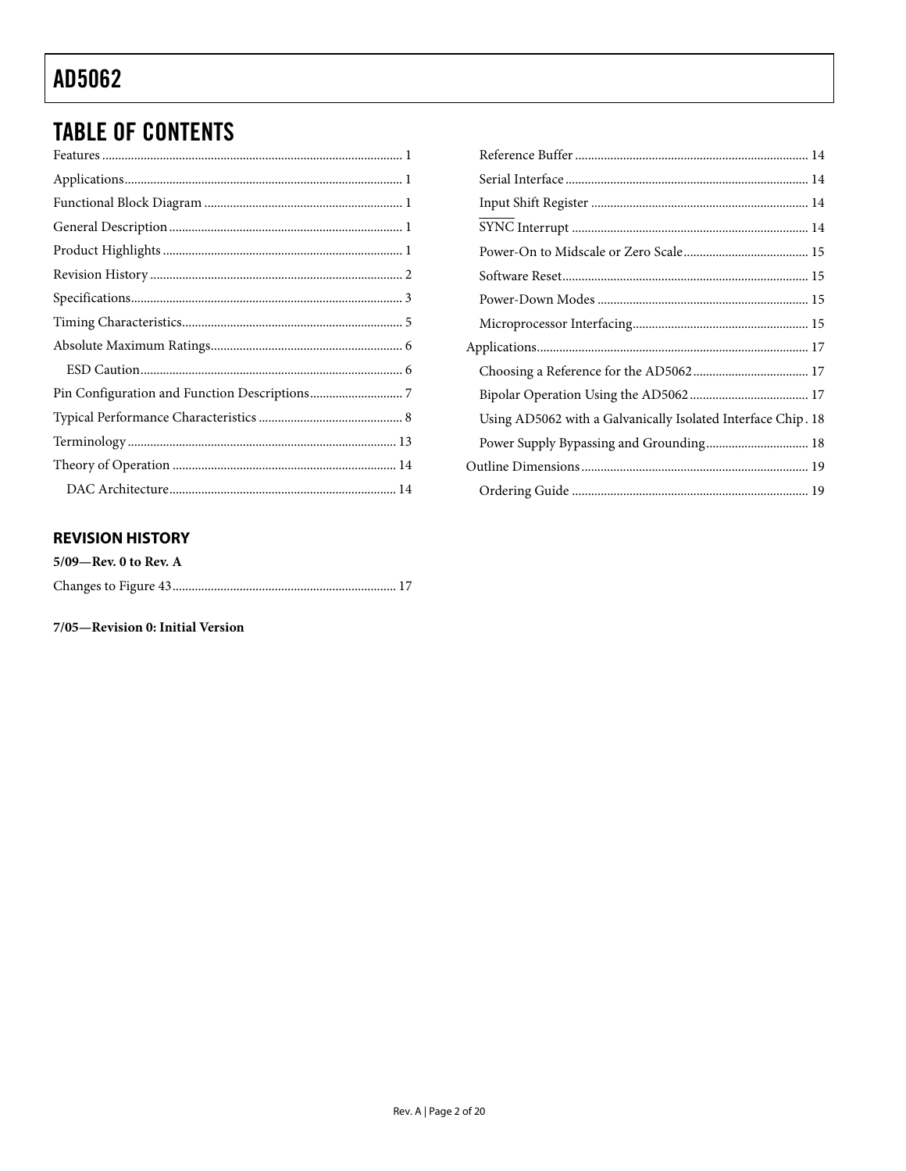# **TABLE OF CONTENTS**

### **REVISION HISTORY**

| $5/09$ —Rev. 0 to Rev. A |  |
|--------------------------|--|
|                          |  |

#### 7/05-Revision 0: Initial Version

| Using AD5062 with a Galvanically Isolated Interface Chip. 18 |  |
|--------------------------------------------------------------|--|
| Power Supply Bypassing and Grounding 18                      |  |
|                                                              |  |
|                                                              |  |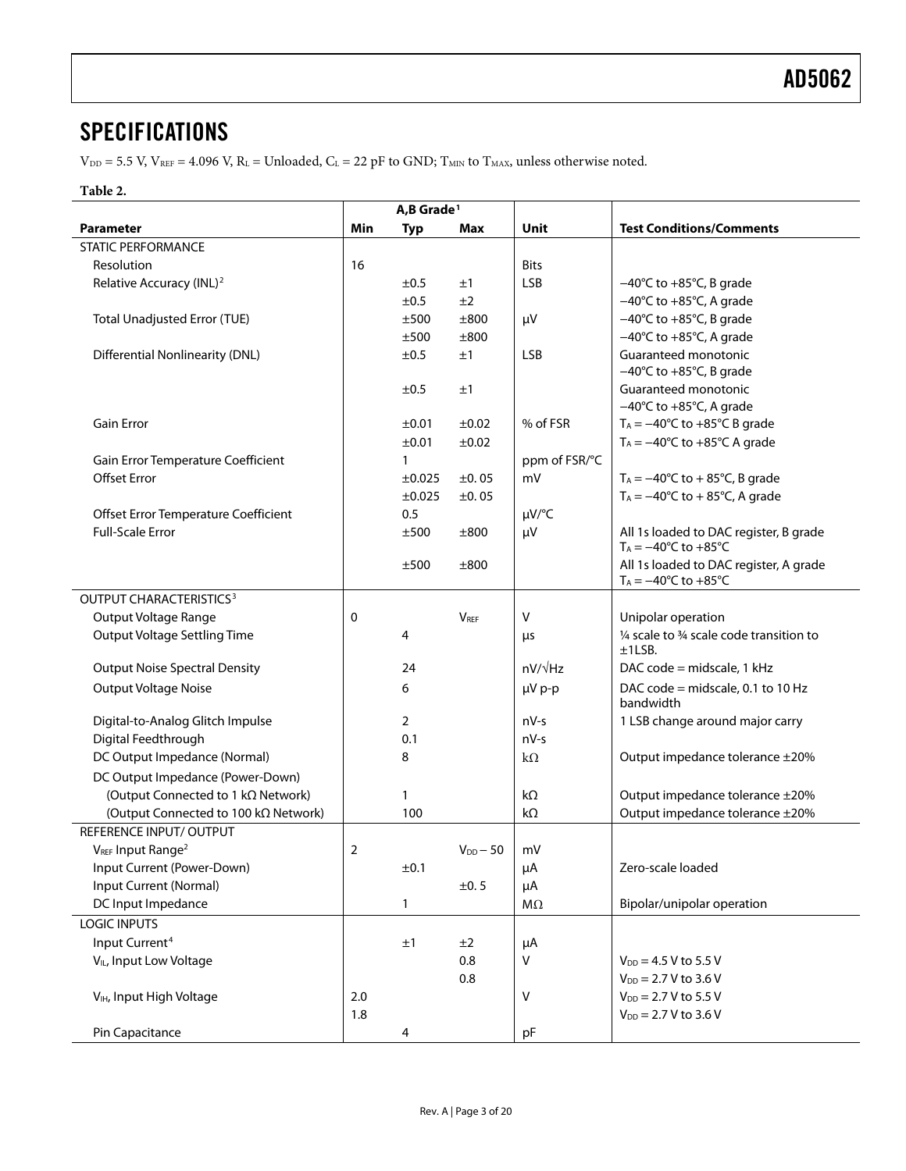### <span id="page-2-0"></span>**SPECIFICATIONS**

 $V_{DD} = 5.5$  V,  $V_{REF} = 4.096$  V,  $R_L =$  Unloaded,  $C_L = 22$  pF to GND;  $T_{MIN}$  to  $T_{MAX}$ , unless otherwise noted.

#### **Table 2.**

|                                           | A,B Grade <sup>1</sup> |                |                        |                |                                                                                  |
|-------------------------------------------|------------------------|----------------|------------------------|----------------|----------------------------------------------------------------------------------|
| <b>Parameter</b>                          | Min                    | <b>Typ</b>     | <b>Max</b>             | Unit           | <b>Test Conditions/Comments</b>                                                  |
| <b>STATIC PERFORMANCE</b>                 |                        |                |                        |                |                                                                                  |
| Resolution                                | 16                     |                |                        | <b>Bits</b>    |                                                                                  |
| Relative Accuracy (INL) <sup>2</sup>      |                        | ±0.5           | ±1                     | <b>LSB</b>     | $-40^{\circ}$ C to $+85^{\circ}$ C, B grade                                      |
|                                           |                        | ±0.5           | ±2                     |                | $-40^{\circ}$ C to $+85^{\circ}$ C, A grade                                      |
| <b>Total Unadjusted Error (TUE)</b>       |                        | ±500           | ±800                   | μV             | $-40^{\circ}$ C to $+85^{\circ}$ C, B grade                                      |
|                                           |                        | ±500           | ±800                   |                | $-40^{\circ}$ C to $+85^{\circ}$ C, A grade                                      |
| <b>Differential Nonlinearity (DNL)</b>    |                        | ±0.5           | ±1                     | <b>LSB</b>     | Guaranteed monotonic                                                             |
|                                           |                        |                |                        |                | $-40^{\circ}$ C to $+85^{\circ}$ C, B grade                                      |
|                                           |                        | ±0.5           | ±1                     |                | Guaranteed monotonic                                                             |
|                                           |                        |                |                        |                | $-40^{\circ}$ C to $+85^{\circ}$ C, A grade                                      |
| <b>Gain Error</b>                         |                        | ±0.01          | ±0.02                  | % of FSR       | $T_A = -40^{\circ}C$ to $+85^{\circ}C$ B grade                                   |
|                                           |                        | ±0.01          | ±0.02                  |                | $T_A = -40^{\circ}C$ to $+85^{\circ}C$ A grade                                   |
| Gain Error Temperature Coefficient        |                        | 1              |                        | ppm of FSR/°C  |                                                                                  |
| <b>Offset Error</b>                       |                        | ±0.025         | ±0.05                  | mV             | $T_A = -40^{\circ}C$ to $+ 85^{\circ}C$ , B grade                                |
|                                           |                        | ±0.025         | ±0.05                  |                | $T_A = -40$ °C to +85°C, A grade                                                 |
| Offset Error Temperature Coefficient      |                        | 0.5            |                        | µV/°C          |                                                                                  |
| <b>Full-Scale Error</b>                   |                        | ±500           | ±800                   | μV             | All 1s loaded to DAC register, B grade<br>$T_A = -40$ °C to +85°C                |
|                                           |                        | ±500           | ±800                   |                | All 1s loaded to DAC register, A grade<br>$T_A = -40^{\circ}C$ to $+85^{\circ}C$ |
| <b>OUTPUT CHARACTERISTICS<sup>3</sup></b> |                        |                |                        |                |                                                                                  |
| Output Voltage Range                      | 0                      |                | <b>V<sub>REF</sub></b> | v              | Unipolar operation                                                               |
| <b>Output Voltage Settling Time</b>       |                        | 4              |                        | μs             | 1/4 scale to 3/4 scale code transition to                                        |
|                                           |                        |                |                        |                | ±1LSB.                                                                           |
| <b>Output Noise Spectral Density</b>      |                        | 24             |                        | $nV/\sqrt{Hz}$ | DAC code = midscale, 1 kHz                                                       |
| <b>Output Voltage Noise</b>               |                        | 6              |                        | µV p-p         | DAC code = midscale, 0.1 to 10 Hz<br>bandwidth                                   |
| Digital-to-Analog Glitch Impulse          |                        | $\overline{2}$ |                        | $nV-s$         | 1 LSB change around major carry                                                  |
| Digital Feedthrough                       |                        | 0.1            |                        | $nV-s$         |                                                                                  |
| DC Output Impedance (Normal)              |                        | 8              |                        | $k\Omega$      | Output impedance tolerance ±20%                                                  |
| DC Output Impedance (Power-Down)          |                        |                |                        |                |                                                                                  |
| (Output Connected to 1 kΩ Network)        |                        | 1              |                        | kΩ             | Output impedance tolerance ±20%                                                  |
| (Output Connected to 100 kΩ Network)      |                        | 100            |                        | kΩ             | Output impedance tolerance ±20%                                                  |
| REFERENCE INPUT/OUTPUT                    |                        |                |                        |                |                                                                                  |
| VREF Input Range <sup>2</sup>             | 2                      |                | $V_{DD} - 50$          | mV             |                                                                                  |
| Input Current (Power-Down)                |                        | ±0.1           |                        | μA             | Zero-scale loaded                                                                |
| Input Current (Normal)                    |                        |                | ±0.5                   | μA             |                                                                                  |
| DC Input Impedance                        |                        | $\mathbf{1}$   |                        | ΜΩ             | Bipolar/unipolar operation                                                       |
| <b>LOGIC INPUTS</b>                       |                        |                |                        |                |                                                                                  |
| Input Current <sup>4</sup>                |                        | ±1             | ±2                     | μA             |                                                                                  |
| V <sub>IL</sub> , Input Low Voltage       |                        |                | 0.8                    | V              | $V_{DD} = 4.5 V$ to 5.5 V                                                        |
|                                           |                        |                | 0.8                    |                | $V_{DD} = 2.7 V$ to 3.6 V                                                        |
| V <sub>IH</sub> , Input High Voltage      | 2.0                    |                |                        | Λ              | $V_{DD} = 2.7 V$ to 5.5 V                                                        |
|                                           | 1.8                    |                |                        |                | $V_{DD} = 2.7 V$ to 3.6 V                                                        |
| Pin Capacitance                           |                        | 4              |                        | pF             |                                                                                  |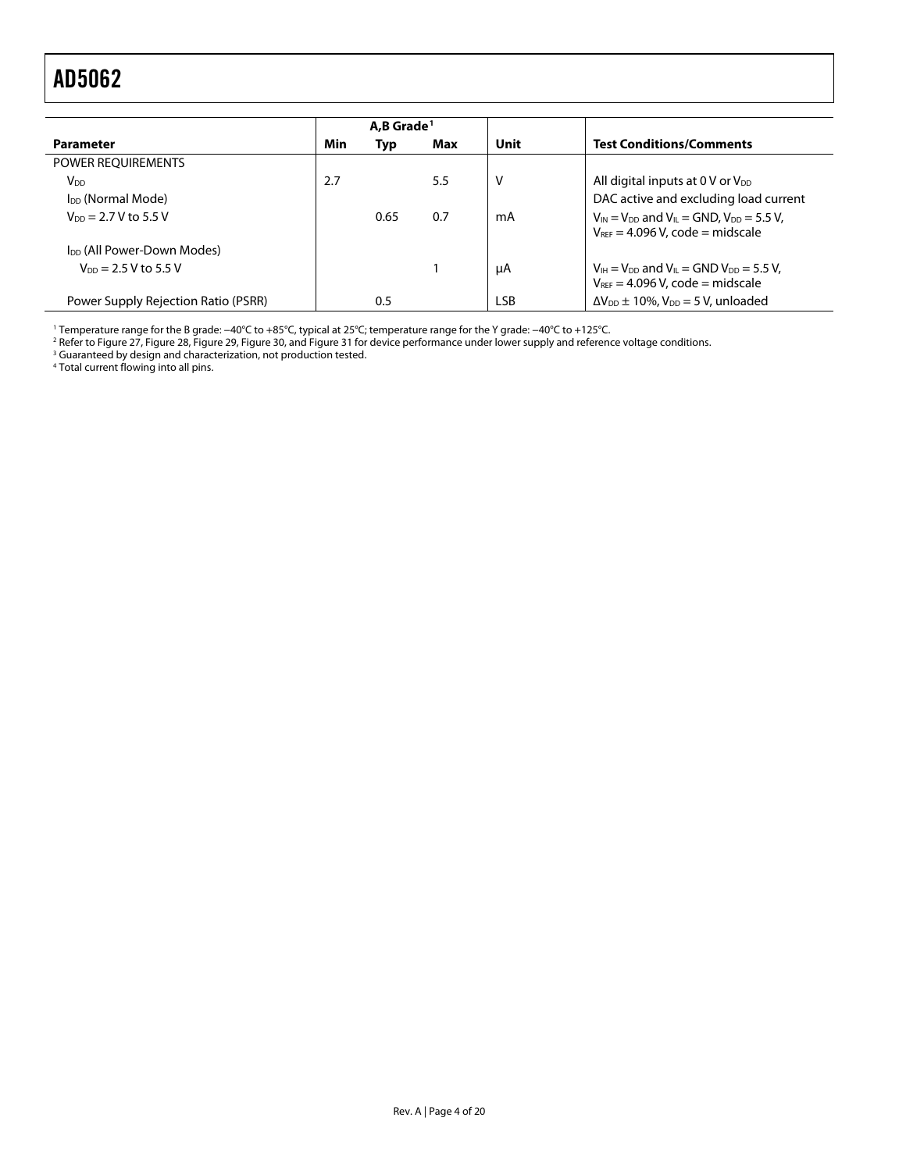<span id="page-3-0"></span>

|                                        |     | A.B Grade <sup>1</sup> |     |            |                                                                                                                                      |
|----------------------------------------|-----|------------------------|-----|------------|--------------------------------------------------------------------------------------------------------------------------------------|
| <b>Parameter</b>                       | Min | Typ                    | Max | Unit       | <b>Test Conditions/Comments</b>                                                                                                      |
| POWER REQUIREMENTS                     |     |                        |     |            |                                                                                                                                      |
| V <sub>DD</sub>                        | 2.7 |                        | 5.5 | v          | All digital inputs at 0 V or V <sub>DD</sub>                                                                                         |
| I <sub>DD</sub> (Normal Mode)          |     |                        |     |            | DAC active and excluding load current                                                                                                |
| $V_{DD} = 2.7 V$ to 5.5 V              |     | 0.65                   | 0.7 | mA         | $V_{\text{IN}} = V_{\text{DD}}$ and $V_{\text{IL}} = \text{GND}$ , $V_{\text{DD}} = 5.5$ V,<br>$V_{REF} = 4.096 V$ , code = midscale |
| I <sub>DD</sub> (All Power-Down Modes) |     |                        |     |            |                                                                                                                                      |
| $V_{DD} = 2.5 V$ to 5.5 V              |     |                        |     | μA         | $V_{IH} = V_{DD}$ and $V_{IL} =$ GND $V_{DD} = 5.5$ V,<br>$V_{REF} = 4.096$ V, code = midscale                                       |
| Power Supply Rejection Ratio (PSRR)    |     | 0.5                    |     | <b>LSB</b> | $\Delta V_{DD} \pm 10\%$ , $V_{DD} = 5$ V, unloaded                                                                                  |

1 Temperature range for the B grade: −40°C to +85°C, typical at 25°C; temperature range for the Y grade: −40°C to +125°C. 2

<sup>2</sup> Refer to [Figure 27,](#page-10-0) [Figure 28, Figure 29, Figure 30, a](#page-11-0)n[d Figure 31](#page-11-0) for device performance under lower supply and reference voltage conditions.<br><sup>3</sup> Guaranteed by design and characterization, not production tested.<br><sup>4</sup> T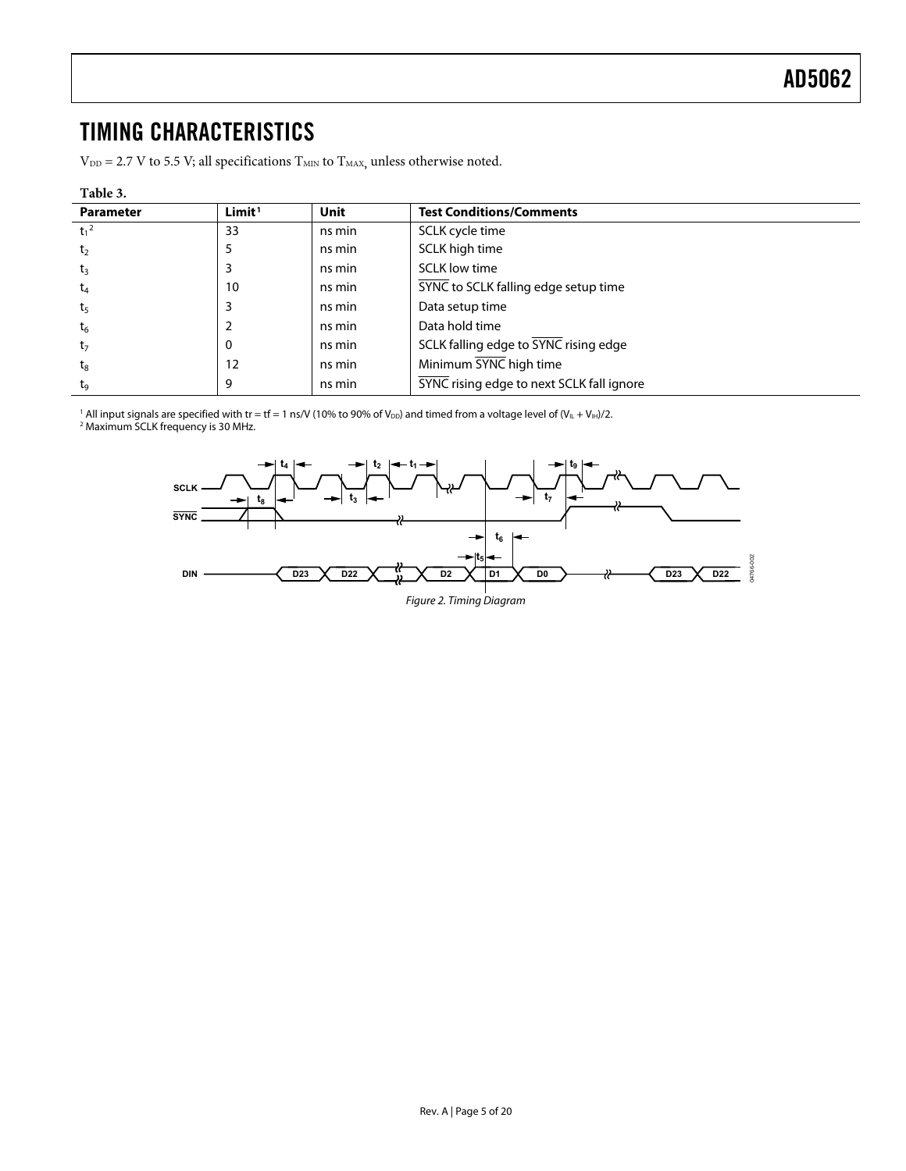### <span id="page-4-1"></span><span id="page-4-0"></span>TIMING CHARACTERISTICS

 $\rm V_{\rm DD}$  = 2.7 V to 5.5 V; all specifications  $\rm T_{\rm MIN}$  to  $\rm T_{\rm MAX}$  unless otherwise noted.

#### **Table 3.**

| <b>Parameter</b> | Limit <sup>1</sup> | <b>Unit</b> | <b>Test Conditions/Comments</b>           |  |  |
|------------------|--------------------|-------------|-------------------------------------------|--|--|
| $t_1^2$          | 33                 | ns min      | SCLK cycle time                           |  |  |
| t <sub>2</sub>   | 5                  | ns min      | SCLK high time                            |  |  |
| $t_3$            |                    | ns min      | SCLK low time                             |  |  |
| $t_4$            | 10                 | ns min      | SYNC to SCLK falling edge setup time      |  |  |
| t <sub>5</sub>   | 3                  | ns min      | Data setup time                           |  |  |
| $t_6$            |                    | ns min      | Data hold time                            |  |  |
| t <sub>7</sub>   | 0                  | ns min      | SCLK falling edge to SYNC rising edge     |  |  |
| $t_{8}$          | 12                 | ns min      | Minimum SYNC high time                    |  |  |
| tg               | 9                  | ns min      | SYNC rising edge to next SCLK fall ignore |  |  |

 $^1$  All input signals are specified with tr = tf = 1 ns/V (10% to 90% of V $_{\rm DD}$ ) and timed from a voltage level of (V $_{\rm IL}$  + V $_{\rm IH}$ )/2.<br><sup>2</sup> Maximum SCLK frequency is 30 MHz.



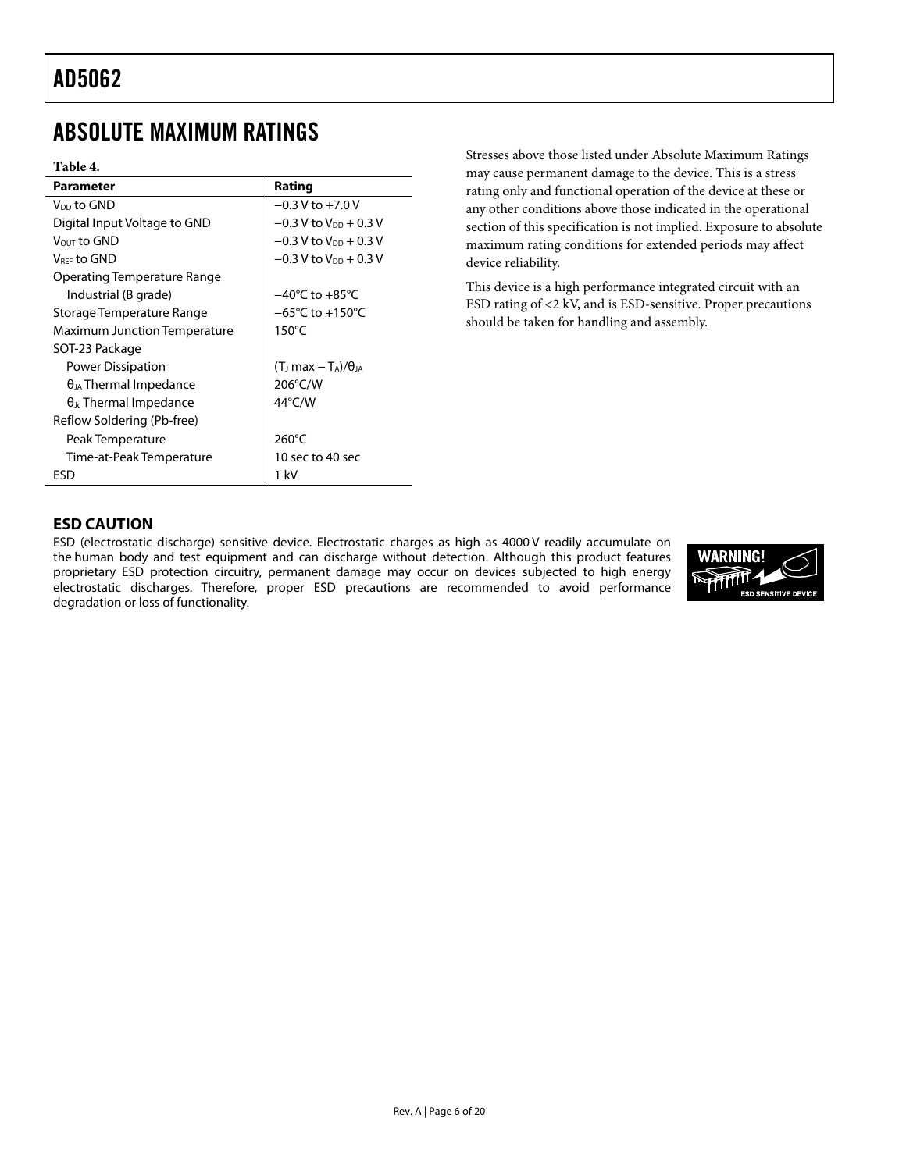### <span id="page-5-1"></span><span id="page-5-0"></span>ABSOLUTE MAXIMUM RATINGS

#### **Table 4.**

| <b>Parameter</b>                    | Rating                                         |
|-------------------------------------|------------------------------------------------|
| V <sub>DD</sub> to GND              | $-0.3 V$ to $+7.0 V$                           |
| Digital Input Voltage to GND        | $-0.3$ V to V <sub>DD</sub> + 0.3 V            |
| $V_{OUT}$ to $GND$                  | $-0.3$ V to $V_{DD}$ + 0.3 V                   |
| V <sub>REE</sub> to GND             | $-0.3$ V to $V_{DD}$ + 0.3 V                   |
| Operating Temperature Range         |                                                |
| Industrial (B grade)                | $-40^{\circ}$ C to $+85^{\circ}$ C             |
| Storage Temperature Range           | $-65^{\circ}$ C to $+150^{\circ}$ C            |
| <b>Maximum Junction Temperature</b> | $150^{\circ}$ C                                |
| SOT-23 Package                      |                                                |
| <b>Power Dissipation</b>            | $(T_{\rm J}$ max $-T_{\rm A})/\theta_{\rm JA}$ |
| $\theta_{JA}$ Thermal Impedance     | 206°C/W                                        |
| $\theta_{\rm Jc}$ Thermal Impedance | $44^{\circ}$ C/W                               |
| Reflow Soldering (Pb-free)          |                                                |
| Peak Temperature                    | $260^{\circ}$ C                                |
| Time-at-Peak Temperature            | 10 sec to 40 sec                               |
| ESD                                 | 1 kV                                           |

Stresses above those listed under Absolute Maximum Ratings may cause permanent damage to the device. This is a stress rating only and functional operation of the device at these or any other conditions above those indicated in the operational section of this specification is not implied. Exposure to absolute maximum rating conditions for extended periods may affect device reliability.

This device is a high performance integrated circuit with an ESD rating of <2 kV, and is ESD-sensitive. Proper precautions should be taken for handling and assembly.

### **ESD CAUTION**

ESD (electrostatic discharge) sensitive device. Electrostatic charges as high as 4000 V readily accumulate on the human body and test equipment and can discharge without detection. Although this product features proprietary ESD protection circuitry, permanent damage may occur on devices subjected to high energy electrostatic discharges. Therefore, proper ESD precautions are recommended to avoid performance degradation or loss of functionality.

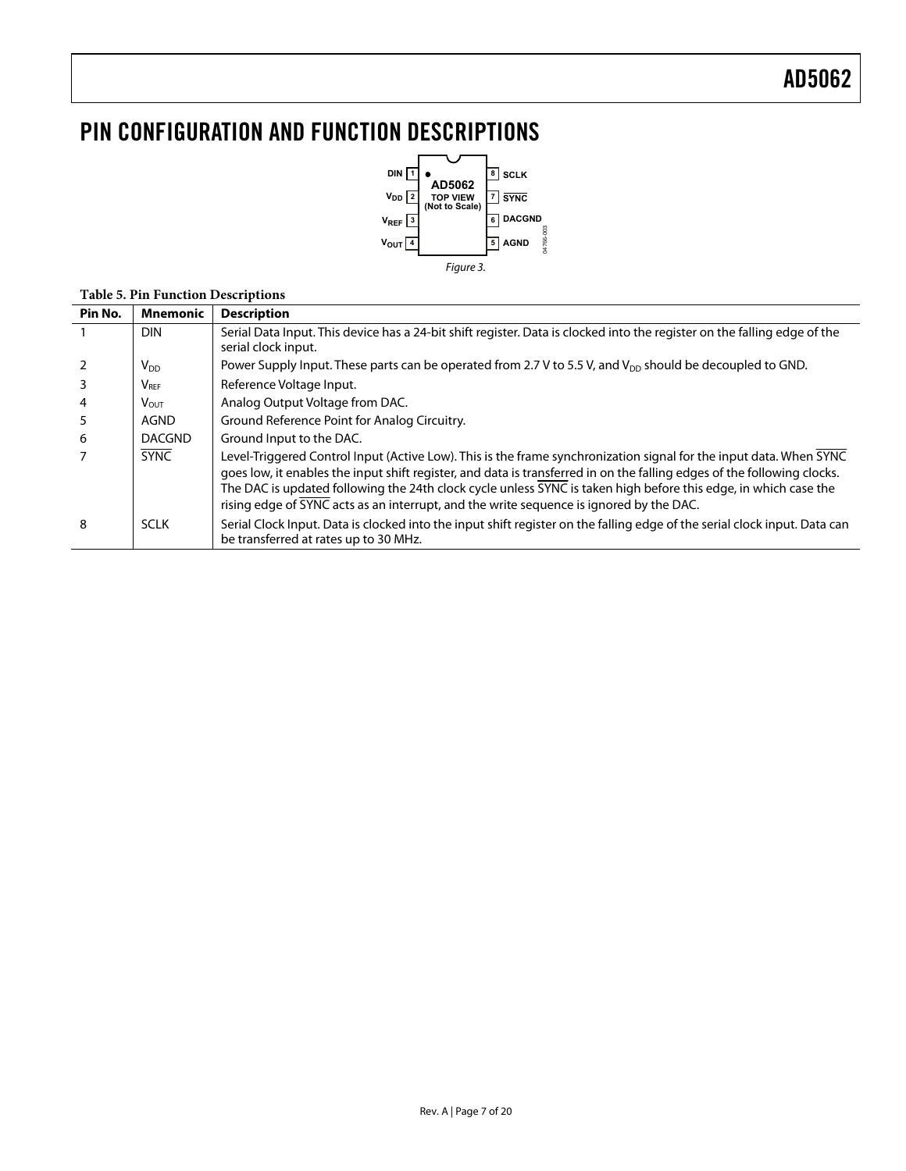## <span id="page-6-0"></span>PIN CONFIGURATION AND FUNCTION DESCRIPTIONS



#### **Table 5. Pin Function Descriptions**

| Pin No. | Mnemonic      | <b>Description</b>                                                                                                                                                                                                                                                                                                                                                                                                                                          |
|---------|---------------|-------------------------------------------------------------------------------------------------------------------------------------------------------------------------------------------------------------------------------------------------------------------------------------------------------------------------------------------------------------------------------------------------------------------------------------------------------------|
|         | <b>DIN</b>    | Serial Data Input. This device has a 24-bit shift register. Data is clocked into the register on the falling edge of the<br>serial clock input.                                                                                                                                                                                                                                                                                                             |
|         | $V_{DD}$      | Power Supply Input. These parts can be operated from 2.7 V to 5.5 V, and V <sub>DD</sub> should be decoupled to GND.                                                                                                                                                                                                                                                                                                                                        |
|         | <b>VREF</b>   | Reference Voltage Input.                                                                                                                                                                                                                                                                                                                                                                                                                                    |
| 4       | <b>VOUT</b>   | Analog Output Voltage from DAC.                                                                                                                                                                                                                                                                                                                                                                                                                             |
| 5       | AGND          | Ground Reference Point for Analog Circuitry.                                                                                                                                                                                                                                                                                                                                                                                                                |
| 6       | <b>DACGND</b> | Ground Input to the DAC.                                                                                                                                                                                                                                                                                                                                                                                                                                    |
|         | <b>SYNC</b>   | Level-Triggered Control Input (Active Low). This is the frame synchronization signal for the input data. When SYNC<br>goes low, it enables the input shift register, and data is transferred in on the falling edges of the following clocks.<br>The DAC is updated following the 24th clock cycle unless SYNC is taken high before this edge, in which case the<br>rising edge of SYNC acts as an interrupt, and the write sequence is ignored by the DAC. |
| 8       | <b>SCLK</b>   | Serial Clock Input. Data is clocked into the input shift register on the falling edge of the serial clock input. Data can<br>be transferred at rates up to 30 MHz.                                                                                                                                                                                                                                                                                          |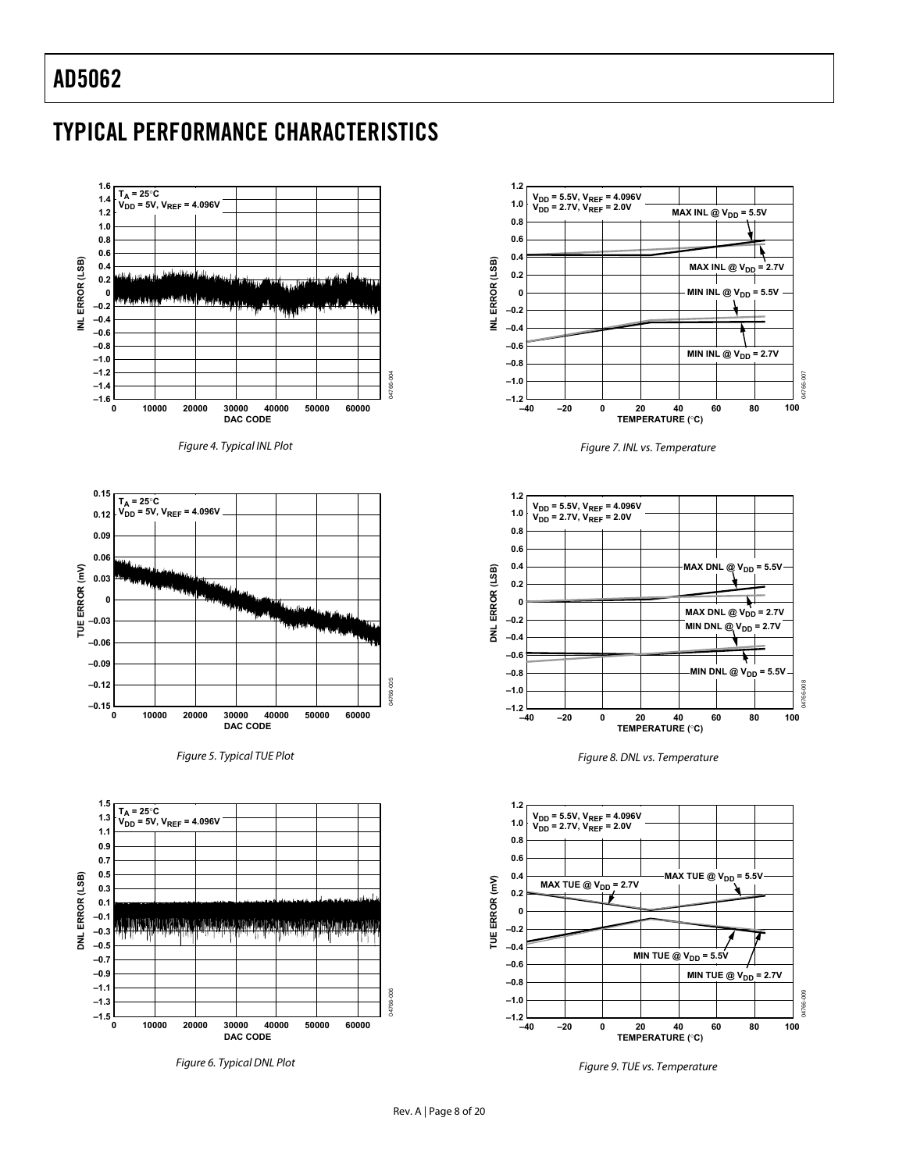# <span id="page-7-0"></span>TYPICAL PERFORMANCE CHARACTERISTICS

<span id="page-7-3"></span><span id="page-7-2"></span><span id="page-7-1"></span>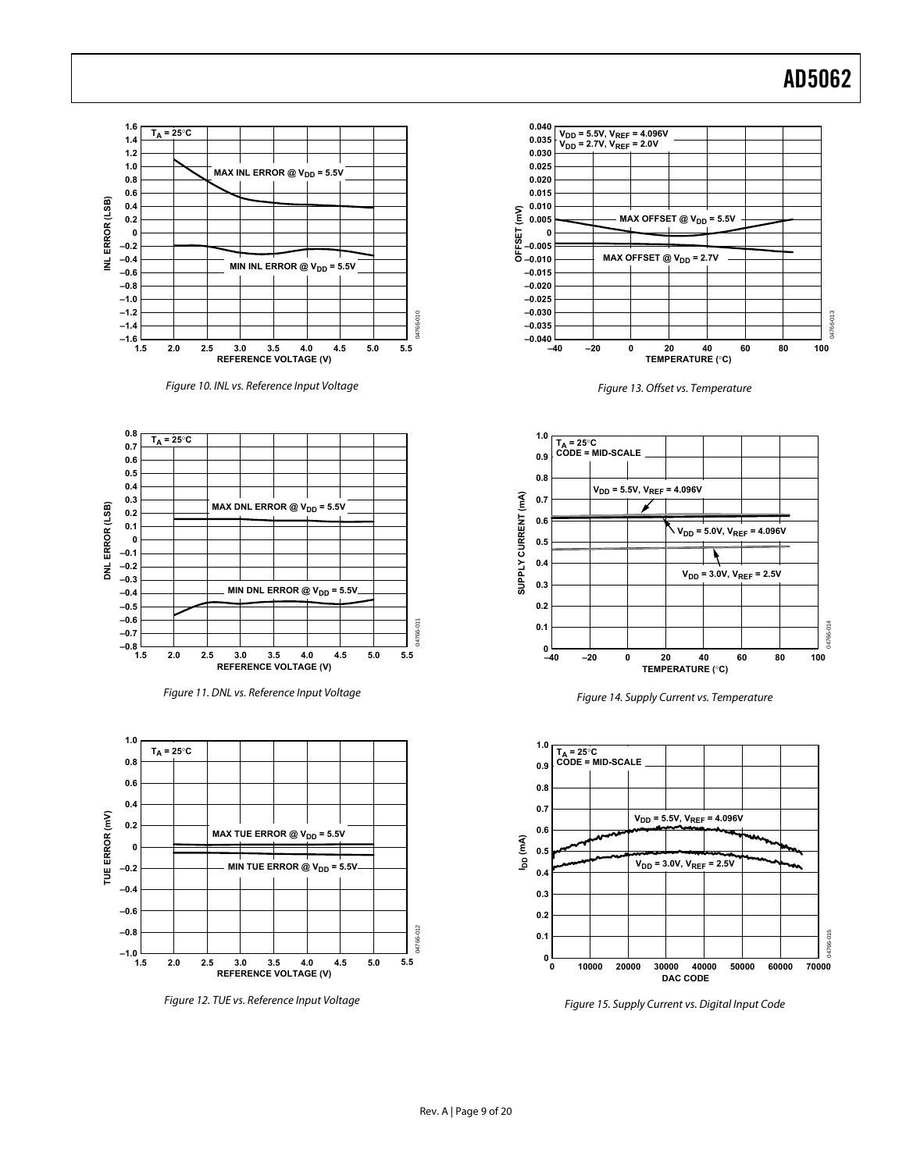





Figure 11. DNL vs. Reference Input Voltage



Figure 12. TUE vs. Reference Input Voltage



Figure 13. Offset vs. Temperature



Figure 14. Supply Current vs. Temperature



Figure 15. Supply Current vs. Digital Input Code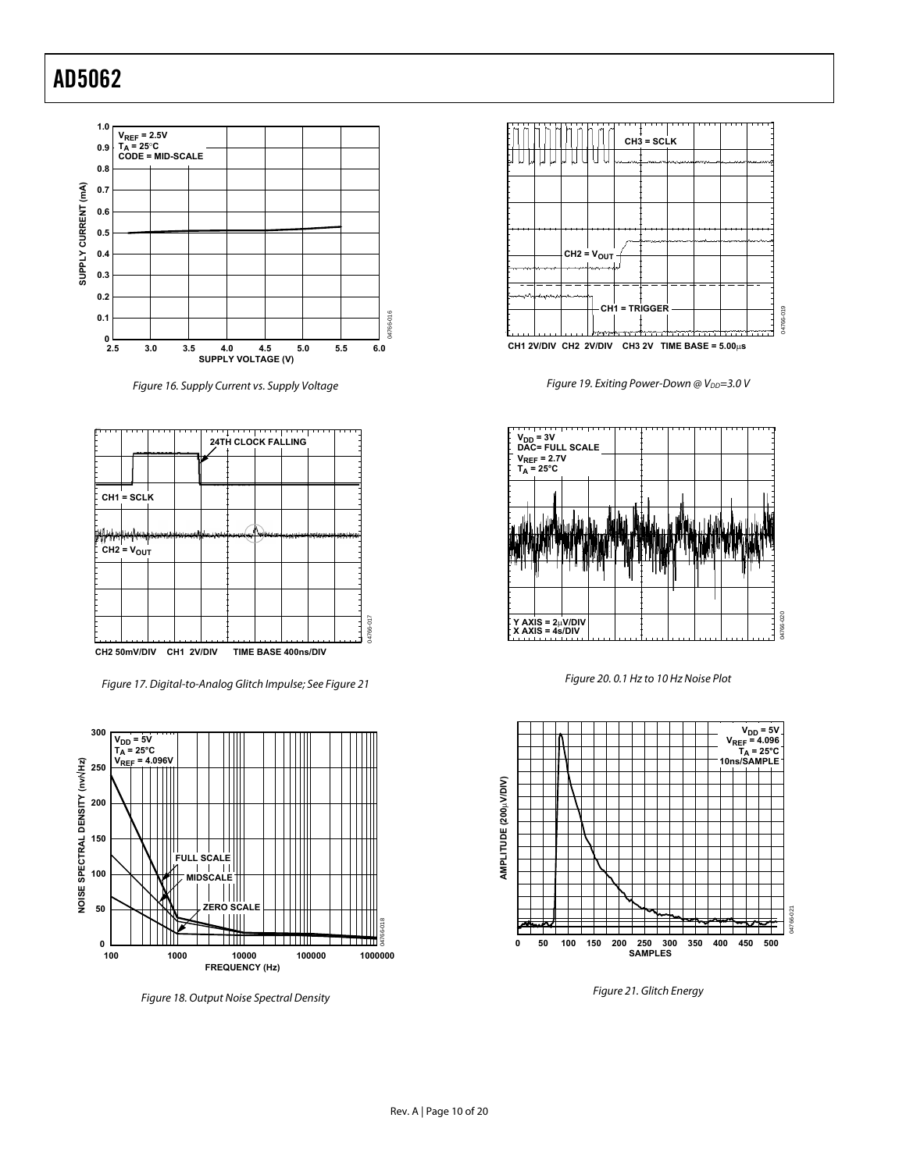

Figure 16. Supply Current vs. Supply Voltage

<span id="page-9-2"></span>

<span id="page-9-1"></span>Figure 17. Digital-to-Analog Glitch Impulse; See [Figure 21](#page-9-0) 



<span id="page-9-0"></span>Figure 18. Output Noise Spectral Density



Figure 19. Exiting Power-Down @ V<sub>DD</sub>=3.0 V



Figure 20. 0.1 Hz to 10 Hz Noise Plot



Figure 21. Glitch Energy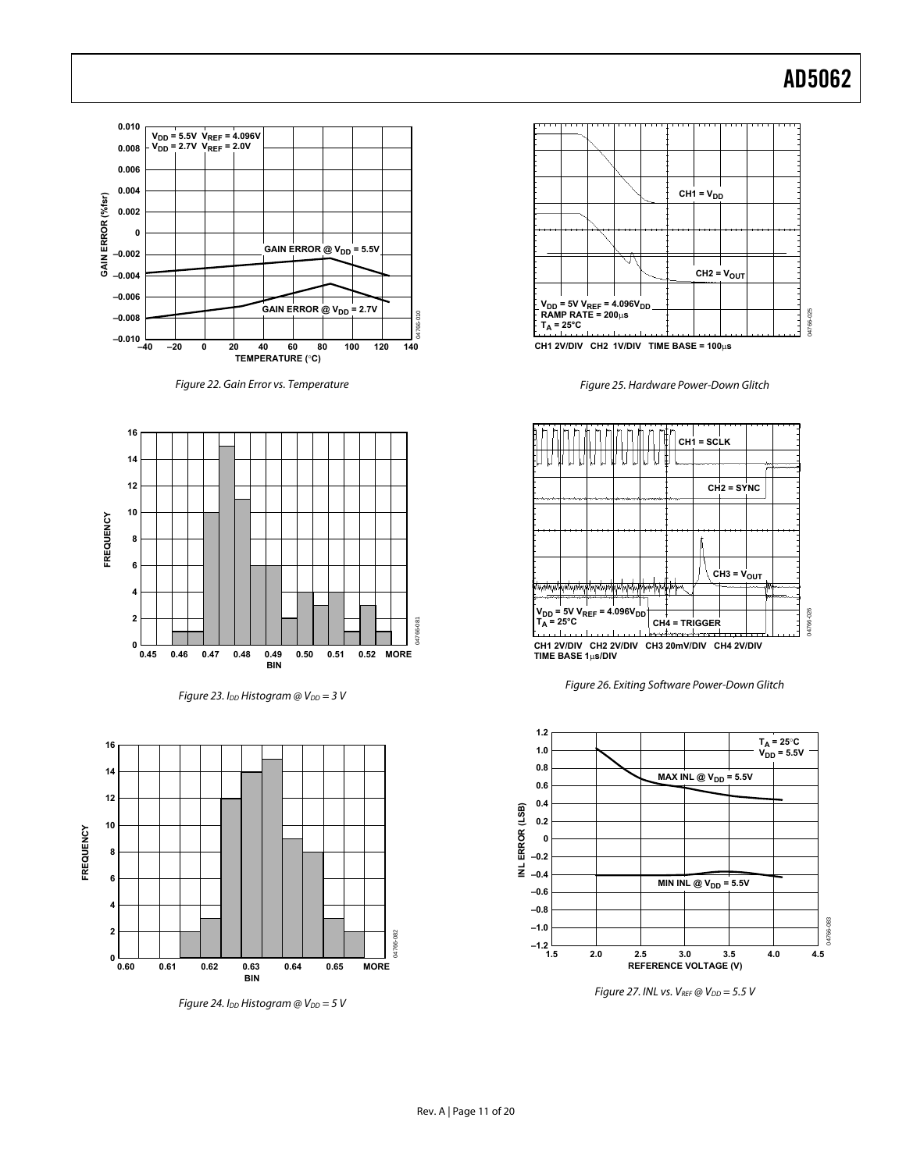<span id="page-10-0"></span>

Figure 22. Gain Error vs. Temperature







Figure 24. I<sub>DD</sub> Histogram @  $V_{DD} = 5 V$ 



**CH1 2V/DIV CH2 1V/DIV TIME BASE = 100**μ**s**

Figure 25. Hardware Power-Down Glitch







Figure 27. INL vs.  $V_{REF}$  @  $V_{DD}$  = 5.5 V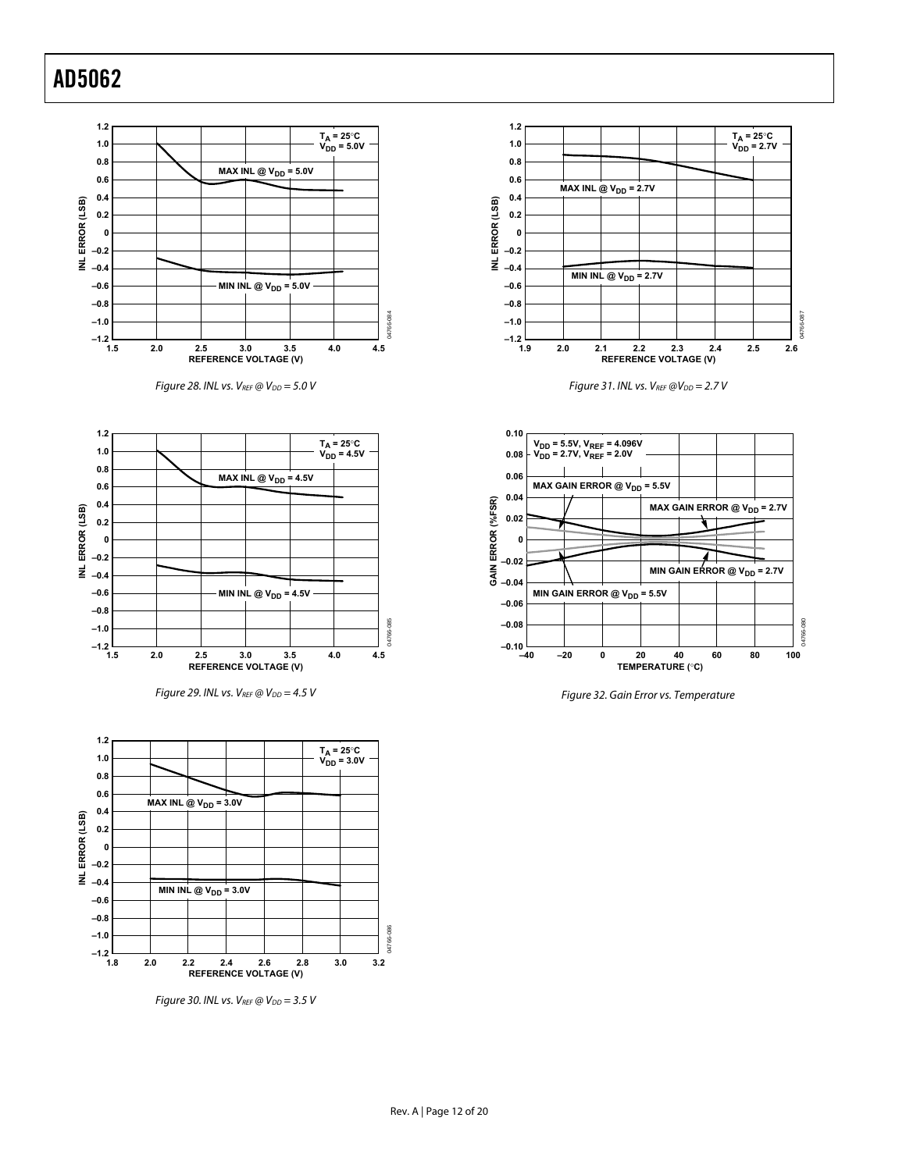<span id="page-11-0"></span>









Figure 29. INL vs. V<sub>REF</sub> @ V<sub>DD</sub> = 4.5 V Figure 32. Gain Error vs. Temperature



Figure 30. INL vs.  $V_{REF}$  @  $V_{DD} = 3.5$  V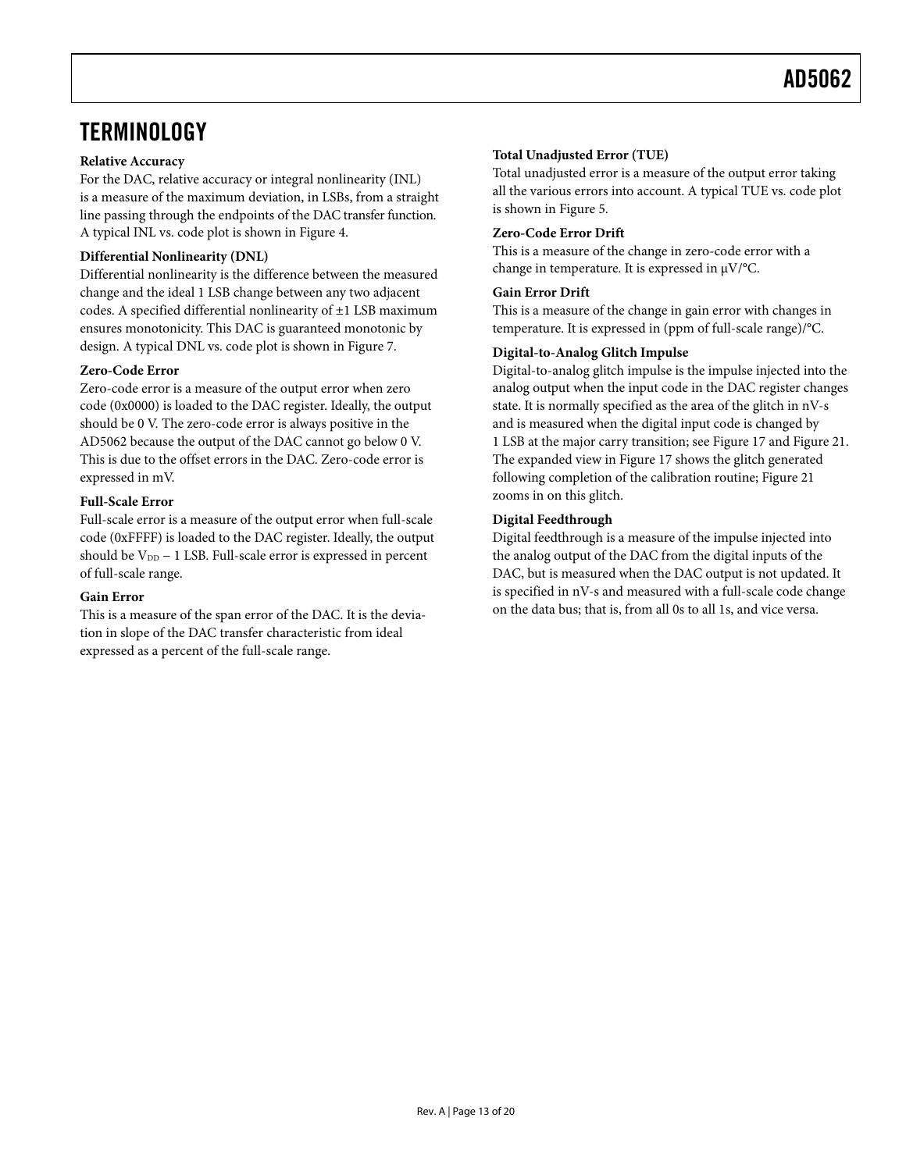### <span id="page-12-0"></span>**TERMINOLOGY**

#### **Relative Accuracy**

For the DAC, relative accuracy or integral nonlinearity (INL) is a measure of the maximum deviation, in LSBs, from a straight line passing through the endpoints of the DAC transfer function. A typical INL vs. code plot is shown in [Figure 4](#page-7-1).

#### **Differential Nonlinearity (DNL)**

Differential nonlinearity is the difference between the measured change and the ideal 1 LSB change between any two adjacent codes. A specified differential nonlinearity of ±1 LSB maximum ensures monotonicity. This DAC is guaranteed monotonic by design. A typical DNL vs. code plot is shown in [Figure 7](#page-7-2).

#### **Zero-Code Error**

Zero-code error is a measure of the output error when zero code (0x0000) is loaded to the DAC register. Ideally, the output should be 0 V. The zero-code error is always positive in the AD5062 because the output of the DAC cannot go below 0 V. This is due to the offset errors in the DAC. Zero-code error is expressed in mV.

#### **Full-Scale Error**

Full-scale error is a measure of the output error when full-scale code (0xFFFF) is loaded to the DAC register. Ideally, the output should be V<sub>DD</sub> − 1 LSB. Full-scale error is expressed in percent of full-scale range.

#### **Gain Error**

This is a measure of the span error of the DAC. It is the deviation in slope of the DAC transfer characteristic from ideal expressed as a percent of the full-scale range.

#### **Total Unadjusted Error (TUE)**

Total unadjusted error is a measure of the output error taking all the various errors into account. A typical TUE vs. code plot is shown in [Figure 5](#page-7-3).

#### **Zero-Code Error Drift**

This is a measure of the change in zero-code error with a change in temperature. It is expressed in μV/°C.

#### **Gain Error Drift**

This is a measure of the change in gain error with changes in temperature. It is expressed in (ppm of full-scale range)/°C.

#### **Digital-to-Analog Glitch Impulse**

Digital-to-analog glitch impulse is the impulse injected into the analog output when the input code in the DAC register changes state. It is normally specified as the area of the glitch in nV-s and is measured when the digital input code is changed by 1 LSB at the major carry transition; see [Figure 17](#page-9-1) and [Figure 21.](#page-9-0) The expanded view in [Figure 17](#page-9-1) shows the glitch generated following completion of the calibration routine; [Figure 21](#page-9-0) zooms in on this glitch.

#### **Digital Feedthrough**

Digital feedthrough is a measure of the impulse injected into the analog output of the DAC from the digital inputs of the DAC, but is measured when the DAC output is not updated. It is specified in nV-s and measured with a full-scale code change on the data bus; that is, from all 0s to all 1s, and vice versa.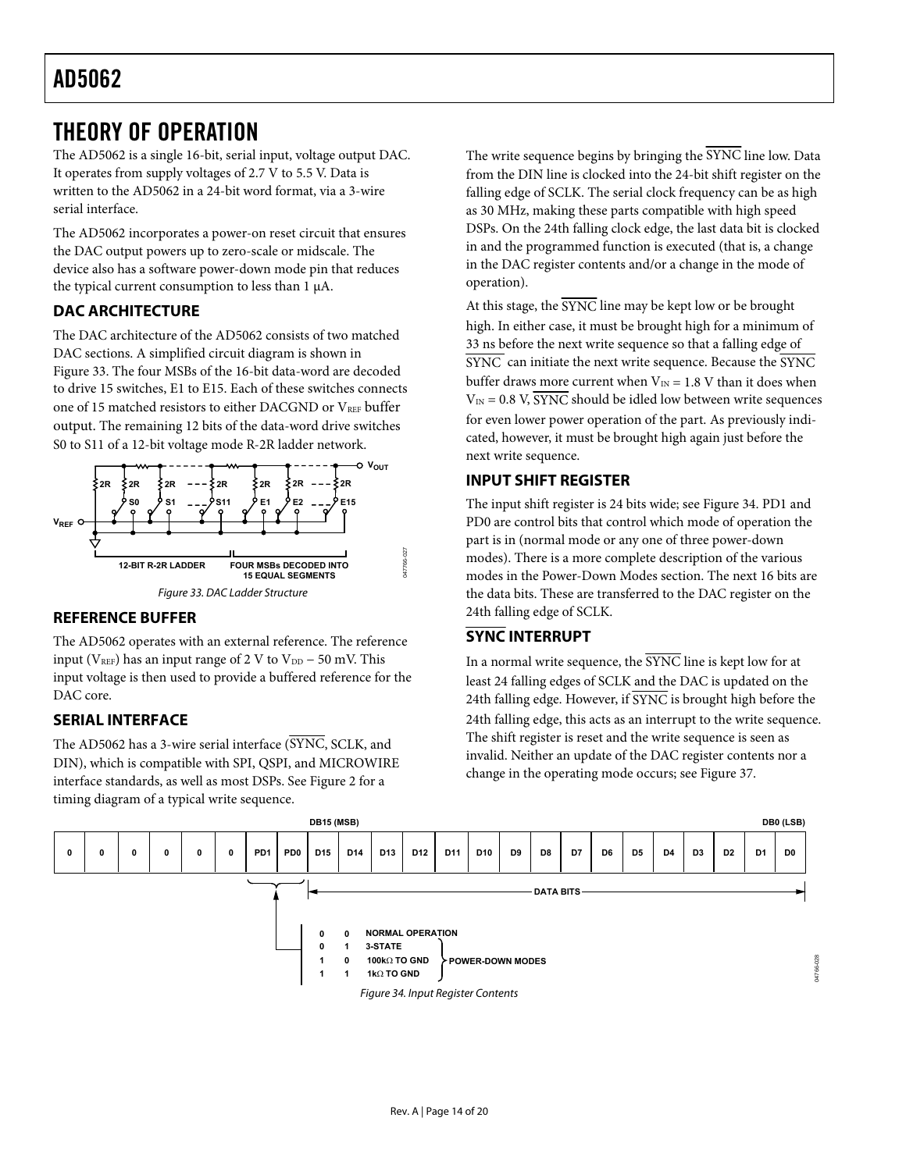### <span id="page-13-1"></span><span id="page-13-0"></span>THEORY OF OPERATION

The AD5062 is a single 16-bit, serial input, voltage output DAC. It operates from supply voltages of 2.7 V to 5.5 V. Data is written to the AD5062 in a 24-bit word format, via a 3-wire serial interface.

The AD5062 incorporates a power-on reset circuit that ensures the DAC output powers up to zero-scale or midscale. The device also has a software power-down mode pin that reduces the typical current consumption to less than 1 μA.

### **DAC ARCHITECTURE**

The DAC architecture of the AD5062 consists of two matched DAC sections. A simplified circuit diagram is shown in Figure 33. The four MSBs of the 16-bit data-word are decoded to drive 15 switches, E1 to E15. Each of these switches connects one of 15 matched resistors to either DACGND or VREF buffer output. The remaining 12 bits of the data-word drive switches S0 to S11 of a 12-bit voltage mode R-2R ladder network.



### **REFERENCE BUFFER**

The AD5062 operates with an external reference. The reference input ( $V_{REF}$ ) has an input range of 2 V to  $V_{DD}$  – 50 mV. This input voltage is then used to provide a buffered reference for the DAC core.

### **SERIAL INTERFACE**

The AD5062 has a 3-wire serial interface (SYNC, SCLK, and DIN), which is compatible with SPI, QSPI, and MICROWIRE interface standards, as well as most DSPs. See Figure 2 for a timing diagram of a typical write sequence.

The write sequence begins by bringing the SYNC line low. Data from the DIN line is clocked into the 24-bit shift register on the falling edge of SCLK. The serial clock frequency can be as high as 30 MHz, making these parts compatible with high speed DSPs. On the 24th falling clock edge, the last data bit is clocked in and the programmed function is executed (that is, a change in the DAC register contents and/or a change in the mode of operation).

At this stage, the SYNC line may be kept low or be brought high. In either case, it must be brought high for a minimum of 33 ns before the next write sequence so that a falling edge of  $\overline{\text{SYNC}}$  can initiate the next write sequence. Because the  $\overline{\text{SYNC}}$ buffer draws more current when  $V_{IN} = 1.8$  V than it does when  $V_{\text{IN}} = 0.8$  V, SYNC should be idled low between write sequences for even lower power operation of the part. As previously indicated, however, it must be brought high again just before the next write sequence.

### **INPUT SHIFT REGISTER**

The input shift register is 24 bits wide; see Figure 34. PD1 and PD0 are control bits that control which mode of operation the part is in (normal mode or any one of three power-down modes). There is a more complete description of the various modes in the [Power-Down Modes](#page-14-2) section. The next 16 bits are the data bits. These are transferred to the DAC register on the 24th falling edge of SCLK.

### **SYNC INTERRUPT**

In a normal write sequence, the SYNC line is kept low for at least 24 falling edges of SCLK and the DAC is updated on the 24th falling edge. However, if SYNC is brought high before the 24th falling edge, this acts as an interrupt to the write sequence. The shift register is reset and the write sequence is seen as invalid. Neither an update of the DAC register contents nor a change in the operating mode occurs; see [Figure 37](#page-14-3).

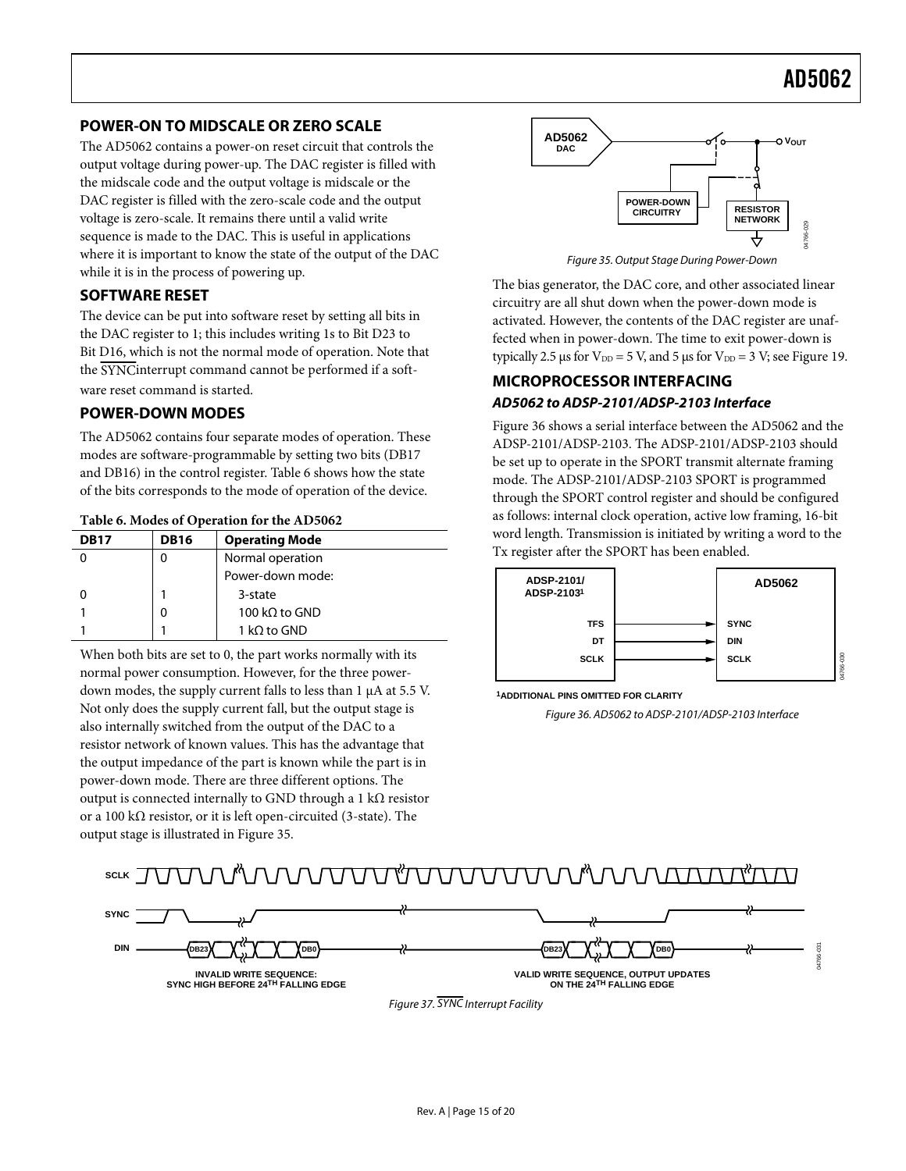#### <span id="page-14-1"></span><span id="page-14-0"></span>**POWER-ON TO MIDSCALE OR ZERO SCALE**

The AD5062 contains a power-on reset circuit that controls the output voltage during power-up. The DAC register is filled with the midscale code and the output voltage is midscale or the DAC register is filled with the zero-scale code and the output voltage is zero-scale. It remains there until a valid write sequence is made to the DAC. This is useful in applications where it is important to know the state of the output of the DAC while it is in the process of powering up.

#### **SOFTWARE RESET**

The device can be put into software reset by setting all bits in the DAC register to 1; this includes writing 1s to Bit D23 to Bit D16, which is not the normal mode of operation. Note that the SYNCinterrupt command cannot be performed if a software reset command is started.

#### <span id="page-14-2"></span>**POWER-DOWN MODES**

The AD5062 contains four separate modes of operation. These modes are software-programmable by setting two bits (DB17 and DB16) in the control register. Table 6 shows how the state of the bits corresponds to the mode of operation of the device.

| <b>DB17</b> | <b>DB16</b> | <b>Operating Mode</b> |  |
|-------------|-------------|-----------------------|--|
|             | 0           | Normal operation      |  |
|             |             | Power-down mode:      |  |
|             |             | 3-state               |  |
|             | 0           | 100 kQ to GND         |  |
|             |             | 1 kQ to GND           |  |

When both bits are set to 0, the part works normally with its normal power consumption. However, for the three powerdown modes, the supply current falls to less than 1 μA at 5.5 V. Not only does the supply current fall, but the output stage is also internally switched from the output of the DAC to a resistor network of known values. This has the advantage that the output impedance of the part is known while the part is in power-down mode. There are three different options. The output is connected internally to GND through a 1 kΩ resistor or a 100 kΩ resistor, or it is left open-circuited (3-state). The output stage is illustrated in Figure 35.



The bias generator, the DAC core, and other associated linear circuitry are all shut down when the power-down mode is activated. However, the contents of the DAC register are unaffected when in power-down. The time to exit power-down is typically 2.5 μs for  $V_{DD} = 5$  V, and 5 μs for  $V_{DD} = 3$  V; see [Figure 19](#page-9-2).

### **MICROPROCESSOR INTERFACING AD5062 to ADSP-2101/ADSP-2103 Interface**

Figure 36 shows a serial interface between the AD5062 and the ADSP-2101/ADSP-2103. The ADSP-2101/ADSP-2103 should be set up to operate in the SPORT transmit alternate framing mode. The ADSP-2101/ADSP-2103 SPORT is programmed through the SPORT control register and should be configured as follows: internal clock operation, active low framing, 16-bit word length. Transmission is initiated by writing a word to the Tx register after the SPORT has been enabled.



**1ADDITIONAL PINS OMITTED FOR CLARITY**

Figure 36. AD5062 to ADSP-2101/ADSP-2103 Interface

#### <u>VÄNNNUVUVÄVUVUUNNU</u> **SCLK**

<span id="page-14-3"></span>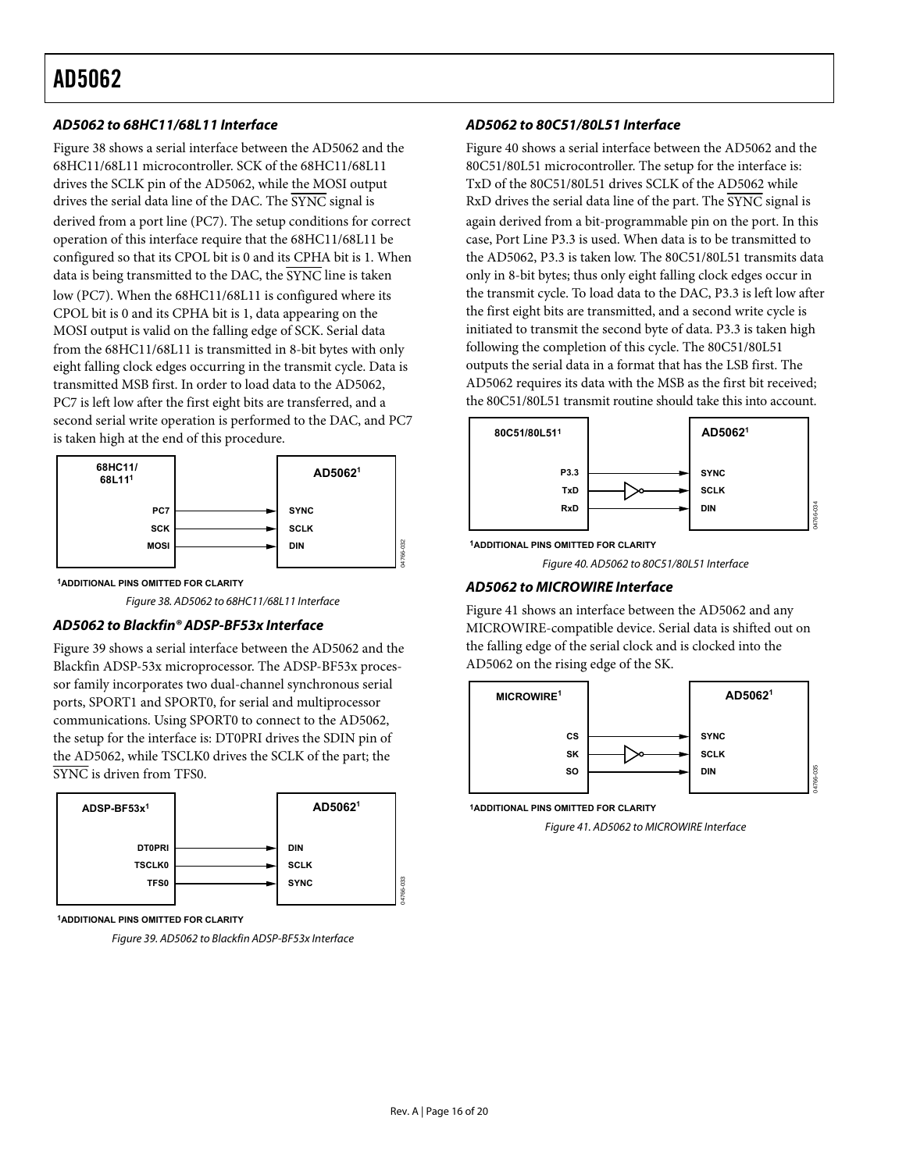#### **AD5062 to 68HC11/68L11 Interface**

[Figure 38](#page-15-0) shows a serial interface between the AD5062 and the 68HC11/68L11 microcontroller. SCK of the 68HC11/68L11 drives the SCLK pin of the AD5062, while the MOSI output drives the serial data line of the DAC. The SYNC signal is derived from a port line (PC7). The setup conditions for correct operation of this interface require that the 68HC11/68L11 be configured so that its CPOL bit is 0 and its CPHA bit is 1. When data is being transmitted to the DAC, the  $\overline{\text{SYNC}}$  line is taken low (PC7). When the 68HC11/68L11 is configured where its CPOL bit is 0 and its CPHA bit is 1, data appearing on the MOSI output is valid on the falling edge of SCK. Serial data from the 68HC11/68L11 is transmitted in 8-bit bytes with only eight falling clock edges occurring in the transmit cycle. Data is transmitted MSB first. In order to load data to the AD5062, PC7 is left low after the first eight bits are transferred, and a second serial write operation is performed to the DAC, and PC7 is taken high at the end of this procedure.



<span id="page-15-2"></span>**1ADDITIONAL PINS OMITTED FOR CLARITY**

Figure 38. AD5062 to 68HC11/68L11 Interface

#### <span id="page-15-0"></span>**AD5062 to Blackfin® ADSP-BF53x Interface**

[Figure 39](#page-15-1) shows a serial interface between the AD5062 and the Blackfin ADSP-53x microprocessor. The ADSP-BF53x processor family incorporates two dual-channel synchronous serial ports, SPORT1 and SPORT0, for serial and multiprocessor communications. Using SPORT0 to connect to the AD5062, the setup for the interface is: DT0PRI drives the SDIN pin of the AD5062, while TSCLK0 drives the SCLK of the part; the SYNC is driven from TFS0.

<span id="page-15-3"></span>

<span id="page-15-1"></span>**1ADDITIONAL PINS OMITTED FOR CLARITY**

Figure 39. AD5062 to Blackfin ADSP-BF53x Interface

#### **AD5062 to 80C51/80L51 Interface**

[Figure 40](#page-15-2) shows a serial interface between the AD5062 and the 80C51/80L51 microcontroller. The setup for the interface is: TxD of the 80C51/80L51 drives SCLK of the AD5062 while RxD drives the serial data line of the part. The SYNC signal is again derived from a bit-programmable pin on the port. In this case, Port Line P3.3 is used. When data is to be transmitted to the AD5062, P3.3 is taken low. The 80C51/80L51 transmits data only in 8-bit bytes; thus only eight falling clock edges occur in the transmit cycle. To load data to the DAC, P3.3 is left low after the first eight bits are transmitted, and a second write cycle is initiated to transmit the second byte of data. P3.3 is taken high following the completion of this cycle. The 80C51/80L51 outputs the serial data in a format that has the LSB first. The AD5062 requires its data with the MSB as the first bit received; the 80C51/80L51 transmit routine should take this into account.



**1ADDITIONAL PINS OMITTED FOR CLARITY**

Figure 40. AD5062 to 80C51/80L51 Interface

#### **AD5062 to MICROWIRE Interface**

[Figure 41](#page-15-3) shows an interface between the AD5062 and any MICROWIRE-compatible device. Serial data is shifted out on the falling edge of the serial clock and is clocked into the AD5062 on the rising edge of the SK.



**1ADDITIONAL PINS OMITTED FOR CLARITY**

Figure 41. AD5062 to MICROWIRE Interface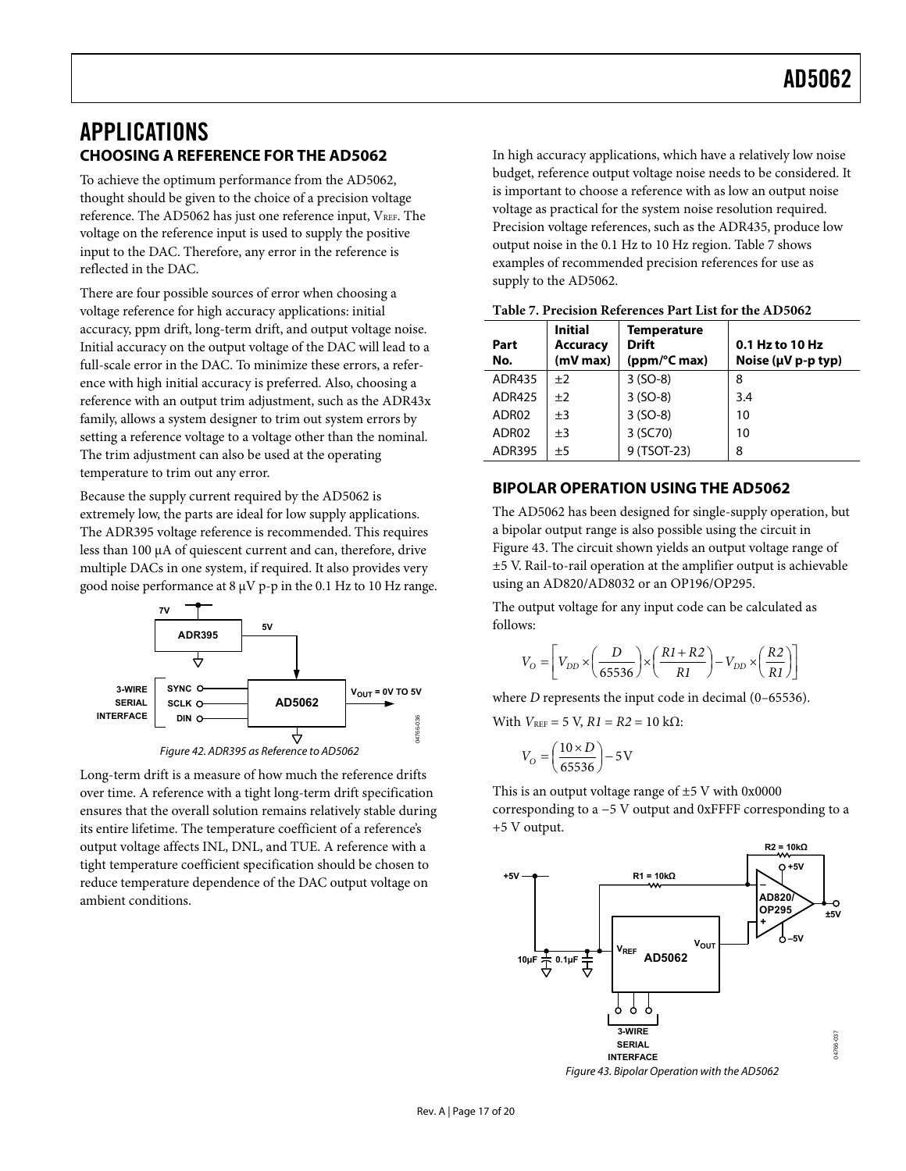### <span id="page-16-1"></span><span id="page-16-0"></span>APPLICATIONS **CHOOSING A REFERENCE FOR THE AD5062**

To achieve the optimum performance from the AD5062, thought should be given to the choice of a precision voltage reference. The AD5062 has just one reference input,  $V_{REF}$ . The voltage on the reference input is used to supply the positive input to the DAC. Therefore, any error in the reference is reflected in the DAC.

There are four possible sources of error when choosing a voltage reference for high accuracy applications: initial accuracy, ppm drift, long-term drift, and output voltage noise. Initial accuracy on the output voltage of the DAC will lead to a full-scale error in the DAC. To minimize these errors, a reference with high initial accuracy is preferred. Also, choosing a reference with an output trim adjustment, such as the ADR43x family, allows a system designer to trim out system errors by setting a reference voltage to a voltage other than the nominal. The trim adjustment can also be used at the operating temperature to trim out any error.

Because the supply current required by the AD5062 is extremely low, the parts are ideal for low supply applications. The ADR395 voltage reference is recommended. This requires less than 100 μA of quiescent current and can, therefore, drive multiple DACs in one system, if required. It also provides very good noise performance at 8 μV p-p in the 0.1 Hz to 10 Hz range.



<span id="page-16-2"></span>Long-term drift is a measure of how much the reference drifts over time. A reference with a tight long-term drift specification ensures that the overall solution remains relatively stable during its entire lifetime. The temperature coefficient of a reference's output voltage affects INL, DNL, and TUE. A reference with a tight temperature coefficient specification should be chosen to reduce temperature dependence of the DAC output voltage on ambient conditions.

In high accuracy applications, which have a relatively low noise budget, reference output voltage noise needs to be considered. It is important to choose a reference with as low an output noise voltage as practical for the system noise resolution required. Precision voltage references, such as the ADR435, produce low output noise in the 0.1 Hz to 10 Hz region. Table 7 shows examples of recommended precision references for use as supply to the AD5062.

| Part<br>No.   | <b>Initial</b><br><b>Accuracy</b><br>$(mV$ max $)$ | Temperature<br><b>Drift</b><br>(ppm/°C max) | 0.1 Hz to 10 Hz<br>Noise ( $\mu$ V p-p typ) |
|---------------|----------------------------------------------------|---------------------------------------------|---------------------------------------------|
| <b>ADR435</b> | ±2                                                 | $3 (SO-8)$                                  | 8                                           |
| <b>ADR425</b> | ±2                                                 | $3 (SO-8)$                                  | 3.4                                         |
| ADR02         | $\pm 3$                                            | $3 (SO-8)$                                  | 10                                          |
| ADR02         | $+3$                                               | 3 (SC70)                                    | 10                                          |
| <b>ADR395</b> | ±5                                                 | 9 (TSOT-23)                                 | 8                                           |

#### **Table 7. Precision References Part List for the AD5062**

### **BIPOLAR OPERATION USING THE AD5062**

The AD5062 has been designed for single-supply operation, but a bipolar output range is also possible using the circuit in [Figure 43](#page-16-2). The circuit shown yields an output voltage range of ±5 V. Rail-to-rail operation at the amplifier output is achievable using an AD820/AD8032 or an OP196/OP295.

The output voltage for any input code can be calculated as follows:

$$
V_O = \left[ V_{DD} \times \left( \frac{D}{65536} \right) \times \left( \frac{R1 + R2}{R1} \right) - V_{DD} \times \left( \frac{R2}{R1} \right) \right]
$$

where *D* represents the input code in decimal (0–65536).

With  $V_{REF}$  = 5 V,  $R1 = R2 = 10$  kΩ:

$$
V_O = \left(\frac{10 \times D}{65536}\right) - 5\,\text{V}
$$

This is an output voltage range of  $\pm$ 5 V with 0x0000 corresponding to a −5 V output and 0xFFFF corresponding to a +5 V output.

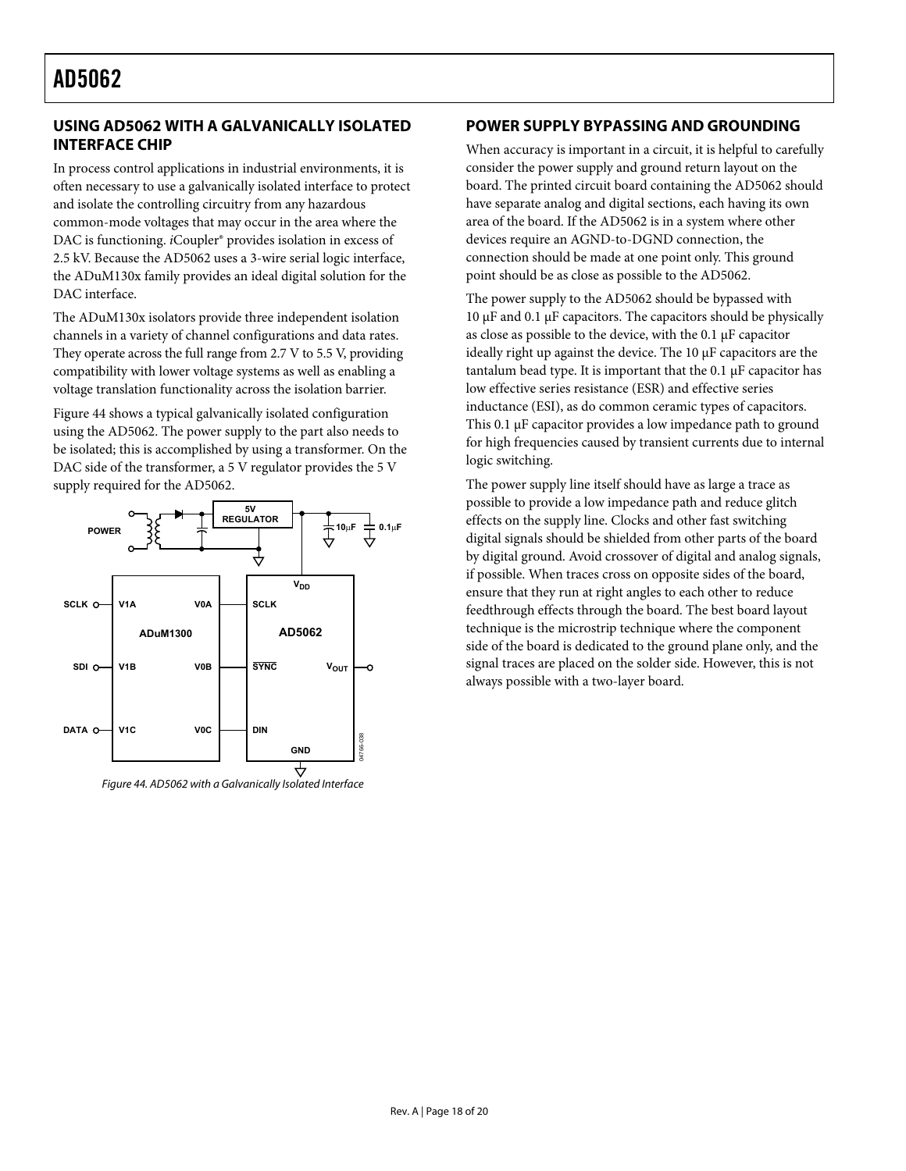### <span id="page-17-0"></span>**USING AD5062 WITH A GALVANICALLY ISOLATED INTERFACE CHIP**

In process control applications in industrial environments, it is often necessary to use a galvanically isolated interface to protect and isolate the controlling circuitry from any hazardous common-mode voltages that may occur in the area where the DAC is functioning. *i*Coupler<sup>®</sup> provides isolation in excess of 2.5 kV. Because the AD5062 uses a 3-wire serial logic interface, the ADuM130x family provides an ideal digital solution for the DAC interface.

The ADuM130x isolators provide three independent isolation channels in a variety of channel configurations and data rates. They operate across the full range from 2.7 V to 5.5 V, providing compatibility with lower voltage systems as well as enabling a voltage translation functionality across the isolation barrier.

[Figure 44](#page-17-1) shows a typical galvanically isolated configuration using the AD5062. The power supply to the part also needs to be isolated; this is accomplished by using a transformer. On the DAC side of the transformer, a 5 V regulator provides the 5 V supply required for the AD5062.

<span id="page-17-1"></span>

### **POWER SUPPLY BYPASSING AND GROUNDING**

When accuracy is important in a circuit, it is helpful to carefully consider the power supply and ground return layout on the board. The printed circuit board containing the AD5062 should have separate analog and digital sections, each having its own area of the board. If the AD5062 is in a system where other devices require an AGND-to-DGND connection, the connection should be made at one point only. This ground point should be as close as possible to the AD5062.

The power supply to the AD5062 should be bypassed with 10 μF and 0.1 μF capacitors. The capacitors should be physically as close as possible to the device, with the 0.1 μF capacitor ideally right up against the device. The 10 μF capacitors are the tantalum bead type. It is important that the 0.1 μF capacitor has low effective series resistance (ESR) and effective series inductance (ESI), as do common ceramic types of capacitors. This 0.1 μF capacitor provides a low impedance path to ground for high frequencies caused by transient currents due to internal logic switching.

The power supply line itself should have as large a trace as possible to provide a low impedance path and reduce glitch effects on the supply line. Clocks and other fast switching digital signals should be shielded from other parts of the board by digital ground. Avoid crossover of digital and analog signals, if possible. When traces cross on opposite sides of the board, ensure that they run at right angles to each other to reduce feedthrough effects through the board. The best board layout technique is the microstrip technique where the component side of the board is dedicated to the ground plane only, and the signal traces are placed on the solder side. However, this is not always possible with a two-layer board.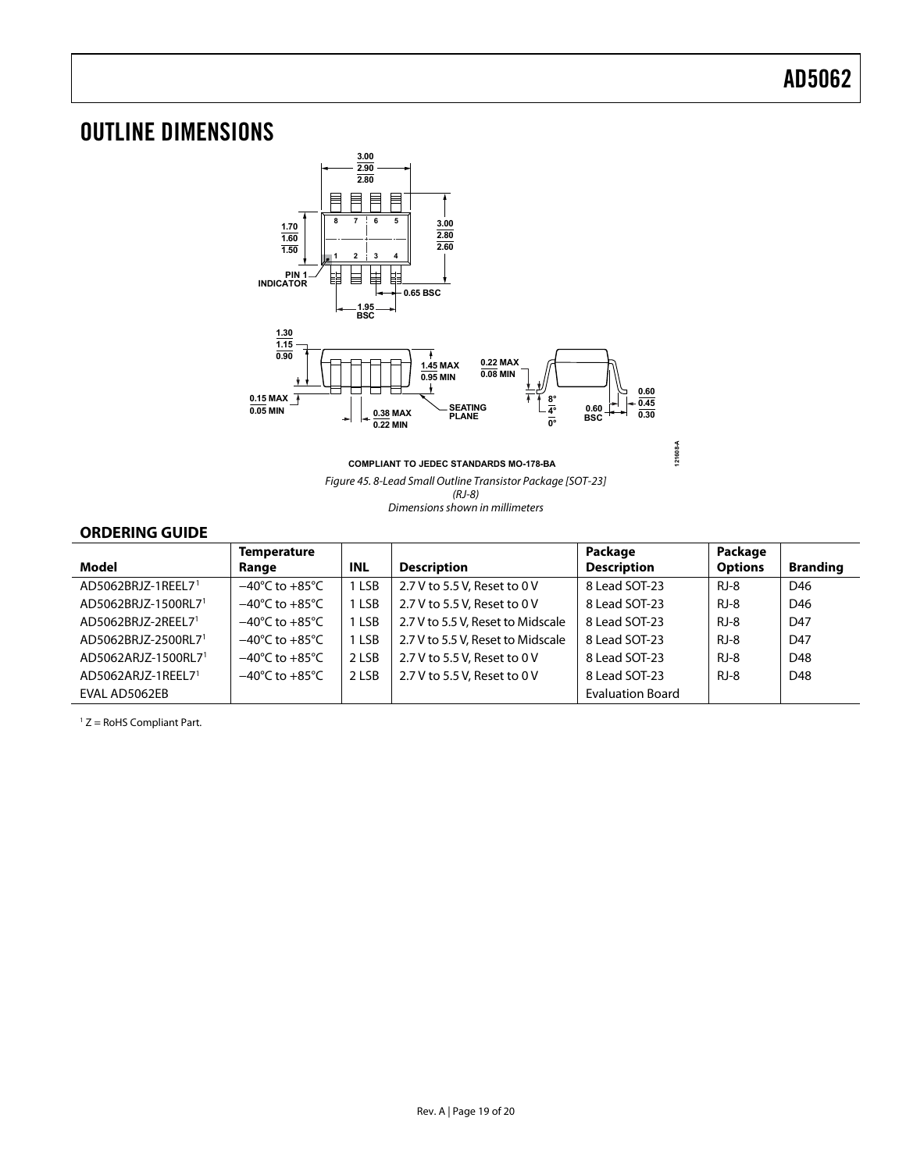# <span id="page-18-1"></span><span id="page-18-0"></span>OUTLINE DIMENSIONS



**COMPLIANT TO JEDEC STANDARDS MO-178-BA**

Figure 45. 8-Lead Small Outline Transistor Package [SOT-23] (RJ-8) Dimensions shown in millimeters

**121608-A**

#### **ORDERING GUIDE**

|                                 | <b>Temperature</b>                 |            |                                   | Package                 | Package        |                 |
|---------------------------------|------------------------------------|------------|-----------------------------------|-------------------------|----------------|-----------------|
| Model                           | Range                              | <b>INL</b> | <b>Description</b>                | <b>Description</b>      | <b>Options</b> | <b>Branding</b> |
| AD5062BRJZ-1REEL71              | $-40^{\circ}$ C to $+85^{\circ}$ C | 1 LSB      | 2.7 V to 5.5 V, Reset to 0 V      | 8 Lead SOT-23           | $RJ-8$         | D46             |
| AD5062BRJZ-1500RL7 <sup>1</sup> | $-40^{\circ}$ C to $+85^{\circ}$ C | 1 LSB      | 2.7 V to 5.5 V. Reset to 0 V      | 8 Lead SOT-23           | RJ-8           | D46             |
| AD5062BRJZ-2REEL71              | $-40^{\circ}$ C to $+85^{\circ}$ C | 1 LSB      | 2.7 V to 5.5 V, Reset to Midscale | 8 Lead SOT-23           | $RJ-8$         | D47             |
| AD5062BRJZ-2500RL7 <sup>1</sup> | $-40^{\circ}$ C to $+85^{\circ}$ C | 1 LSB      | 2.7 V to 5.5 V, Reset to Midscale | 8 Lead SOT-23           | $RJ-8$         | D47             |
| AD5062ARJZ-1500RL7 <sup>1</sup> | $-40^{\circ}$ C to $+85^{\circ}$ C | 2 LSB      | 2.7 V to 5.5 V. Reset to 0 V      | 8 Lead SOT-23           | $RJ-8$         | D48             |
| AD5062ARJZ-1REEL71              | $-40^{\circ}$ C to $+85^{\circ}$ C | 2 LSB      | 2.7 V to 5.5 V. Reset to 0 V      | 8 Lead SOT-23           | $RJ-8$         | D48             |
| EVAL AD5062EB                   |                                    |            |                                   | <b>Evaluation Board</b> |                |                 |

1 Z = RoHS Compliant Part.